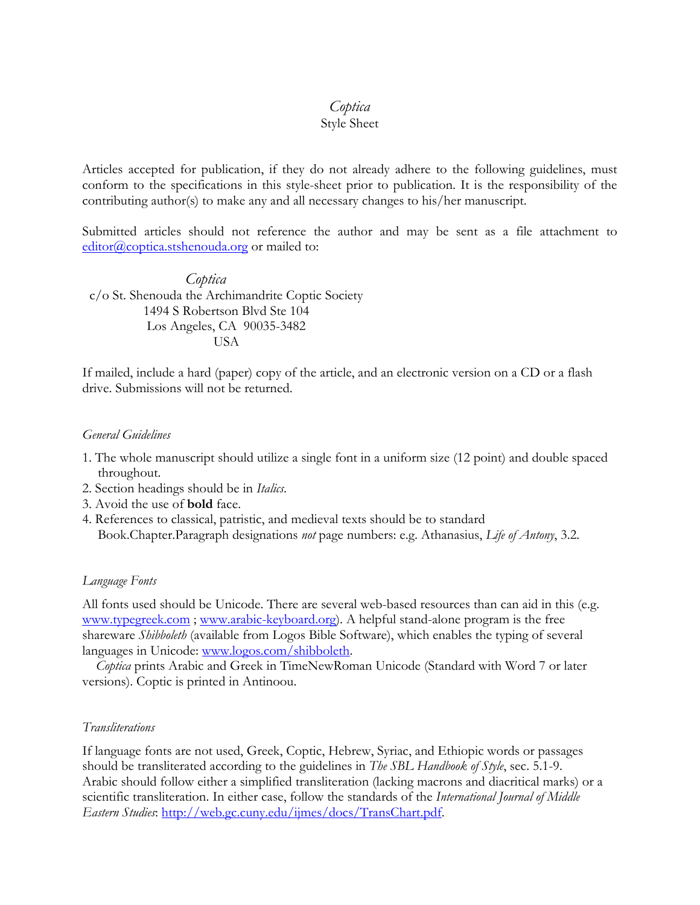# *Coptica*

## Style Sheet

Articles accepted for publication, if they do not already adhere to the following guidelines, must conform to the specifications in this style-sheet prior to publication. It is the responsibility of the contributing author(s) to make any and all necessary changes to his/her manuscript.

Submitted articles should not reference the author and may be sent as a file attachment to [editor@coptica.stshenouda.org](https://campusmail.fullerton.edu/owa/redir.aspx?C=RcsPPrS27EG-nUyHZVgypr9vsTuSANIIqUimDMVEaLSJIqzxZwHVz8IdIBq4vP9IxyMtgVZVUIk.&URL=mailto%3aeditor%40coptica.stshenouda.org) or mailed to:

*Coptica* c/o St. Shenouda the Archimandrite Coptic Society 1494 S Robertson Blvd Ste 104 Los Angeles, CA 90035-3482 USA

If mailed, include a hard (paper) copy of the article, and an electronic version on a CD or a flash drive. Submissions will not be returned.

### *General Guidelines*

- 1. The whole manuscript should utilize a single font in a uniform size (12 point) and double spaced throughout.
- 2. Section headings should be in *Italics*.
- 3. Avoid the use of **bold** face.
- 4. References to classical, patristic, and medieval texts should be to standard Book.Chapter.Paragraph designations *not* page numbers: e.g. Athanasius, *Life of Antony*, 3.2.

#### *Language Fonts*

All fonts used should be Unicode. There are several web-based resources than can aid in this (e.g. [www.typegreek.com](http://www.typegreek.com/) ; [www.arabic-keyboard.org\)](http://www.arabic-keyboard.org/). A helpful stand-alone program is the free shareware *Shibboleth* (available from Logos Bible Software), which enables the typing of several languages in Unicode: [www.logos.com/shibboleth.](http://www.logos.com/shibboleth)

 *Coptica* prints Arabic and Greek in TimeNewRoman Unicode (Standard with Word 7 or later versions). Coptic is printed in Antinoou.

#### *Transliterations*

If language fonts are not used, Greek, Coptic, Hebrew, Syriac, and Ethiopic words or passages should be transliterated according to the guidelines in *The SBL Handbook of Style*, sec. 5.1-9. Arabic should follow either a simplified transliteration (lacking macrons and diacritical marks) or a scientific transliteration. In either case, follow the standards of the *International Journal of Middle Eastern Studies*: [http://web.gc.cuny.edu/ijmes/docs/TransChart.pdf.](http://web.gc.cuny.edu/ijmes/docs/TransChart.pdf)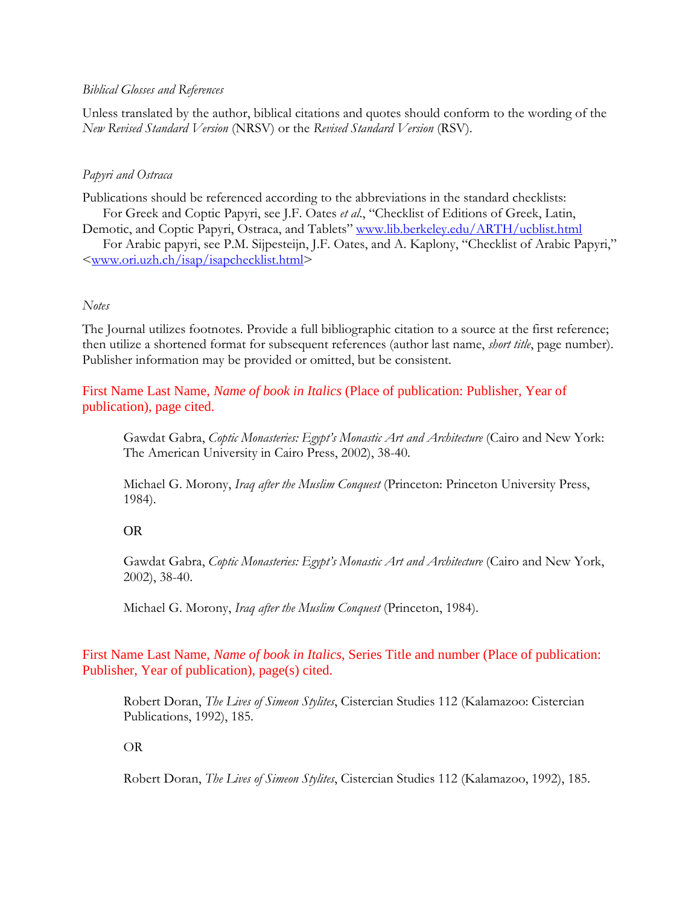#### *Biblical Glosses and References*

Unless translated by the author, biblical citations and quotes should conform to the wording of the *New Revised Standard Version* (NRSV) or the *Revised Standard Version* (RSV).

### *Papyri and Ostraca*

Publications should be referenced according to the abbreviations in the standard checklists: For Greek and Coptic Papyri, see J.F. Oates *et al*., "Checklist of Editions of Greek, Latin, Demotic, and Coptic Papyri, Ostraca, and Tablets" [www.lib.berkeley.edu/ARTH/ucblist.html](http://www.lib.berkeley.edu/ARTH/ucblist.html)

For Arabic papyri, see P.M. Sijpesteijn, J.F. Oates, and A. Kaplony, "Checklist of Arabic Papyri," [<www.ori.uzh.ch/isap/isapchecklist.html>](http://www.ori.uzh.ch/isap/isapchecklist.html)

### *Notes*

The Journal utilizes footnotes. Provide a full bibliographic citation to a source at the first reference; then utilize a shortened format for subsequent references (author last name, *short title*, page number). Publisher information may be provided or omitted, but be consistent.

First Name Last Name, *Name of book in Italics* (Place of publication: Publisher, Year of publication), page cited.

Gawdat Gabra, *Coptic Monasteries: Egypt's Monastic Art and Architecture* (Cairo and New York: The American University in Cairo Press, 2002), 38-40.

Michael G. Morony, *Iraq after the Muslim Conquest* (Princeton: Princeton University Press, 1984).

### OR

Gawdat Gabra, *Coptic Monasteries: Egypt's Monastic Art and Architecture* (Cairo and New York, 2002), 38-40.

Michael G. Morony, *Iraq after the Muslim Conquest* (Princeton, 1984).

First Name Last Name, *Name of book in Italics*, Series Title and number (Place of publication: Publisher, Year of publication), page(s) cited.

Robert Doran, *The Lives of Simeon Stylites*, Cistercian Studies 112 (Kalamazoo: Cistercian Publications, 1992), 185.

OR

Robert Doran, *The Lives of Simeon Stylites*, Cistercian Studies 112 (Kalamazoo, 1992), 185.